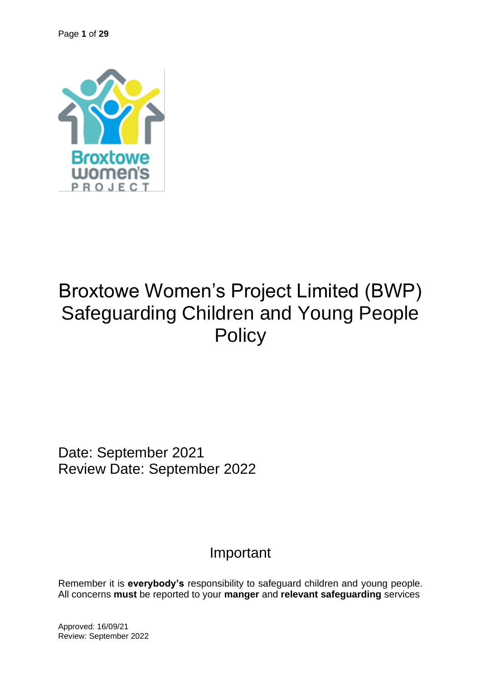

# Broxtowe Women's Project Limited (BWP) Safeguarding Children and Young People **Policy**

Date: September 2021 Review Date: September 2022

# Important

Remember it is **everybody's** responsibility to safeguard children and young people. All concerns **must** be reported to your **manger** and **relevant safeguarding** services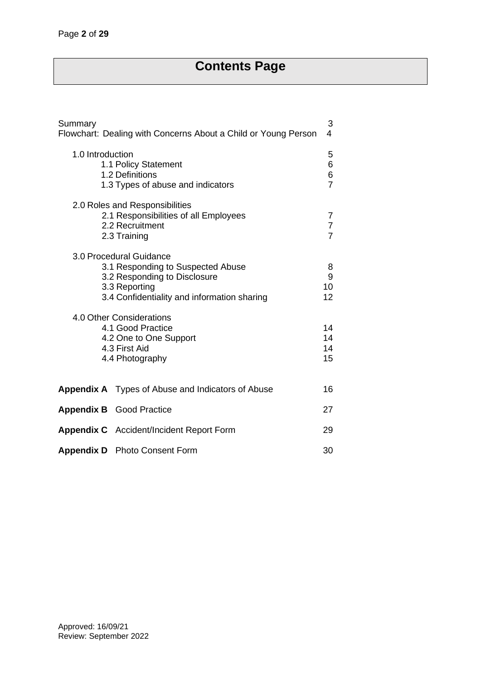# **Contents Page**

| Summary<br>Flowchart: Dealing with Concerns About a Child or Young Person                                                                                    |                          |  |
|--------------------------------------------------------------------------------------------------------------------------------------------------------------|--------------------------|--|
| 1.0 Introduction<br>1.1 Policy Statement<br>1.2 Definitions<br>1.3 Types of abuse and indicators                                                             |                          |  |
| 2.0 Roles and Responsibilities<br>2.1 Responsibilities of all Employees<br>2.2 Recruitment<br>2.3 Training                                                   | 7<br>7<br>$\overline{7}$ |  |
| 3.0 Procedural Guidance<br>3.1 Responding to Suspected Abuse<br>3.2 Responding to Disclosure<br>3.3 Reporting<br>3.4 Confidentiality and information sharing | 8<br>9<br>10<br>12       |  |
| 4.0 Other Considerations<br>4.1 Good Practice<br>4.2 One to One Support<br>4.3 First Aid<br>4.4 Photography                                                  | 14<br>14<br>14<br>15     |  |
| <b>Appendix A</b> Types of Abuse and Indicators of Abuse                                                                                                     | 16                       |  |
| <b>Appendix B</b> Good Practice                                                                                                                              | 27                       |  |
| <b>Appendix C</b> Accident/Incident Report Form                                                                                                              | 29                       |  |
| <b>Appendix D</b> Photo Consent Form                                                                                                                         | 30                       |  |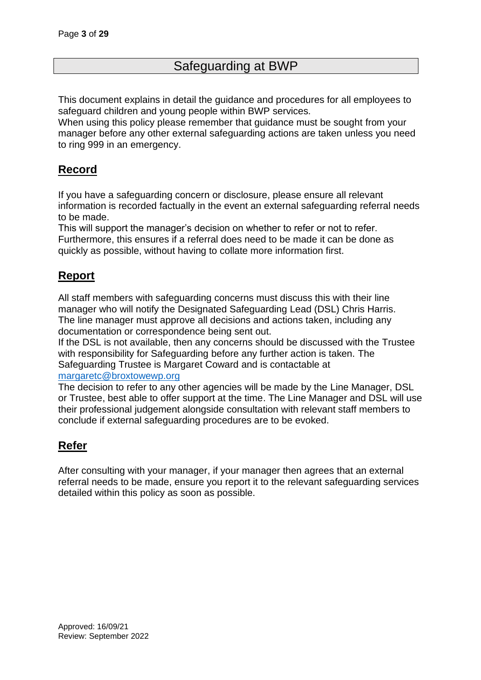# Safeguarding at BWP

This document explains in detail the guidance and procedures for all employees to safeguard children and young people within BWP services.

When using this policy please remember that guidance must be sought from your manager before any other external safeguarding actions are taken unless you need to ring 999 in an emergency.

# **Record**

If you have a safeguarding concern or disclosure, please ensure all relevant information is recorded factually in the event an external safeguarding referral needs to be made.

This will support the manager's decision on whether to refer or not to refer. Furthermore, this ensures if a referral does need to be made it can be done as quickly as possible, without having to collate more information first.

# **Report**

All staff members with safeguarding concerns must discuss this with their line manager who will notify the Designated Safeguarding Lead (DSL) Chris Harris. The line manager must approve all decisions and actions taken, including any documentation or correspondence being sent out.

If the DSL is not available, then any concerns should be discussed with the Trustee with responsibility for Safeguarding before any further action is taken. The Safeguarding Trustee is Margaret Coward and is contactable at [margaretc@broxtowewp.org](mailto:margaretc@broxtowewp.org)

The decision to refer to any other agencies will be made by the Line Manager, DSL or Trustee, best able to offer support at the time. The Line Manager and DSL will use their professional judgement alongside consultation with relevant staff members to conclude if external safeguarding procedures are to be evoked.

# **Refer**

After consulting with your manager, if your manager then agrees that an external referral needs to be made, ensure you report it to the relevant safeguarding services detailed within this policy as soon as possible.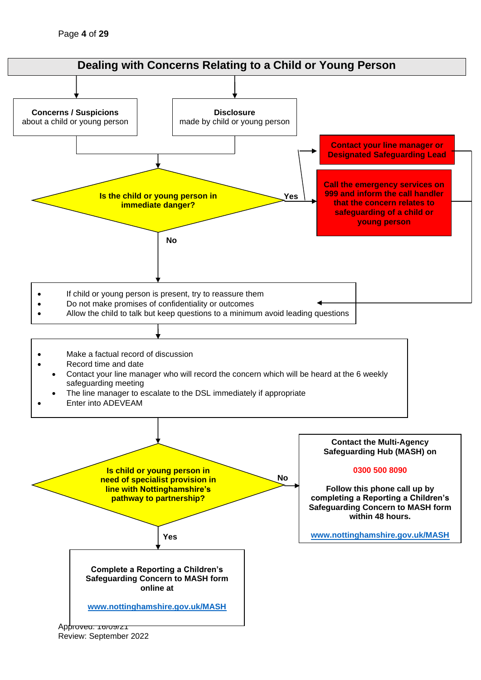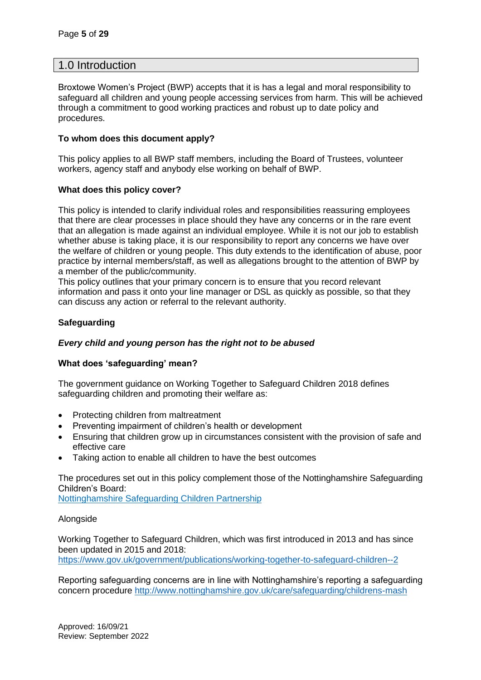### 1.0 Introduction

Broxtowe Women's Project (BWP) accepts that it is has a legal and moral responsibility to safeguard all children and young people accessing services from harm. This will be achieved through a commitment to good working practices and robust up to date policy and procedures.

### **To whom does this document apply?**

This policy applies to all BWP staff members, including the Board of Trustees, volunteer workers, agency staff and anybody else working on behalf of BWP.

### **What does this policy cover?**

This policy is intended to clarify individual roles and responsibilities reassuring employees that there are clear processes in place should they have any concerns or in the rare event that an allegation is made against an individual employee. While it is not our job to establish whether abuse is taking place, it is our responsibility to report any concerns we have over the welfare of children or young people. This duty extends to the identification of abuse, poor practice by internal members/staff, as well as allegations brought to the attention of BWP by a member of the public/community.

This policy outlines that your primary concern is to ensure that you record relevant information and pass it onto your line manager or DSL as quickly as possible, so that they can discuss any action or referral to the relevant authority.

### **Safeguarding**

### *Every child and young person has the right not to be abused*

### **What does 'safeguarding' mean?**

The government guidance on Working Together to Safeguard Children 2018 defines safeguarding children and promoting their welfare as:

- Protecting children from maltreatment
- Preventing impairment of children's health or development
- Ensuring that children grow up in circumstances consistent with the provision of safe and effective care
- Taking action to enable all children to have the best outcomes

The procedures set out in this policy complement those of the Nottinghamshire Safeguarding Children's Board:

[Nottinghamshire Safeguarding Children Partnership](https://nscp.nottinghamshire.gov.uk/)

### Alongside

Working Together to Safeguard Children, which was first introduced in 2013 and has since been updated in 2015 and 2018: <https://www.gov.uk/government/publications/working-together-to-safeguard-children--2>

Reporting safeguarding concerns are in line with Nottinghamshire's reporting a safeguarding concern procedure <http://www.nottinghamshire.gov.uk/care/safeguarding/childrens-mash>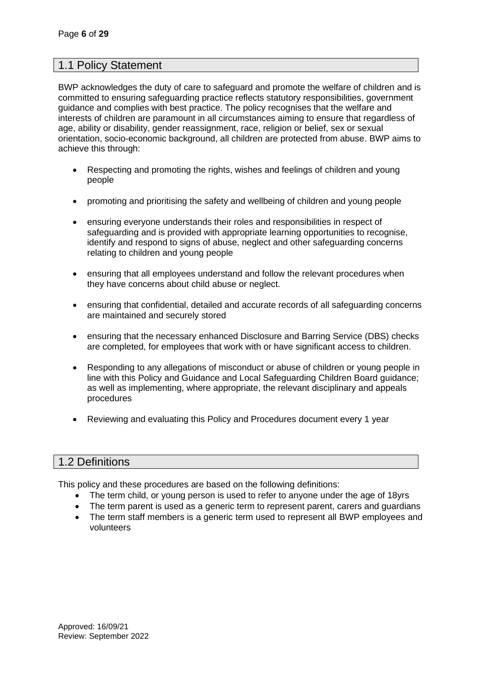# 1.1 Policy Statement

BWP acknowledges the duty of care to safeguard and promote the welfare of children and is committed to ensuring safeguarding practice reflects statutory responsibilities, government guidance and complies with best practice. The policy recognises that the welfare and interests of children are paramount in all circumstances aiming to ensure that regardless of age, ability or disability, gender reassignment, race, religion or belief, sex or sexual orientation, socio-economic background, all children are protected from abuse. BWP aims to achieve this through:

- Respecting and promoting the rights, wishes and feelings of children and young people
- promoting and prioritising the safety and wellbeing of children and young people
- ensuring everyone understands their roles and responsibilities in respect of safeguarding and is provided with appropriate learning opportunities to recognise, identify and respond to signs of abuse, neglect and other safeguarding concerns relating to children and young people
- ensuring that all employees understand and follow the relevant procedures when they have concerns about child abuse or neglect.
- ensuring that confidential, detailed and accurate records of all safeguarding concerns are maintained and securely stored
- ensuring that the necessary enhanced Disclosure and Barring Service (DBS) checks are completed, for employees that work with or have significant access to children.
- Responding to any allegations of misconduct or abuse of children or young people in line with this Policy and Guidance and Local Safeguarding Children Board guidance; as well as implementing, where appropriate, the relevant disciplinary and appeals procedures
- Reviewing and evaluating this Policy and Procedures document every 1 year

# 1.2 Definitions

This policy and these procedures are based on the following definitions:

- The term child, or young person is used to refer to anyone under the age of 18yrs
- The term parent is used as a generic term to represent parent, carers and guardians
- The term staff members is a generic term used to represent all BWP employees and volunteers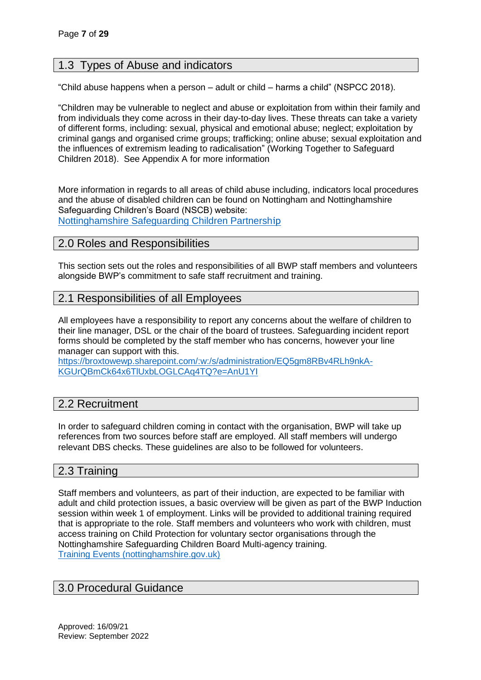# 1.3 Types of Abuse and indicators

"Child abuse happens when a person – adult or child – harms a child" (NSPCC 2018).

"Children may be vulnerable to neglect and abuse or exploitation from within their family and from individuals they come across in their day-to-day lives. These threats can take a variety of different forms, including: sexual, physical and emotional abuse; neglect; exploitation by criminal gangs and organised crime groups; trafficking; online abuse; sexual exploitation and the influences of extremism leading to radicalisation" (Working Together to Safeguard Children 2018). See Appendix A for more information

More information in regards to all areas of child abuse including, indicators local procedures and the abuse of disabled children can be found on Nottingham and Nottinghamshire Safeguarding Children's Board (NSCB) website: [Nottinghamshire Safeguarding Children Partnersh](https://nscp.nottinghamshire.gov.uk/)[ip](https://nscp.nottinghamshire.gov.uk/)

# 2.0 Roles and Responsibilities

This section sets out the roles and responsibilities of all BWP staff members and volunteers alongside BWP's commitment to safe staff recruitment and training.

# 2.1 Responsibilities of all Employees

All employees have a responsibility to report any concerns about the welfare of children to their line manager, DSL or the chair of the board of trustees. Safeguarding incident report forms should be completed by the staff member who has concerns, however your line manager can support with this.

[https://broxtowewp.sharepoint.com/:w:/s/administration/EQ5gm8RBv4RLh9nkA-](https://broxtowewp.sharepoint.com/:w:/s/administration/EQ5gm8RBv4RLh9nkA-KGUrQBmCk64x6TlUxbLOGLCAq4TQ?e=AnU1YI)[KGUrQBmCk64x6TlUxbLOGLCAq4TQ?e=AnU1YI](https://broxtowewp.sharepoint.com/:w:/s/administration/EQ5gm8RBv4RLh9nkA-KGUrQBmCk64x6TlUxbLOGLCAq4TQ?e=AnU1YI)

# 2.2 Recruitment

In order to safeguard children coming in contact with the organisation, BWP will take up references from two sources before staff are employed. All staff members will undergo relevant DBS checks. These guidelines are also to be followed for volunteers.

# 2.3 Training

Staff members and volunteers, as part of their induction, are expected to be familiar with adult and child protection issues, a basic overview will be given as part of the BWP Induction session within week 1 of employment. Links will be provided to additional training required that is appropriate to the role. Staff members and volunteers who work with children, must access training on Child Protection for voluntary sector organisations through the Nottinghamshire Safeguarding Children Board Multi-agency training. [Training Events \(nottinghamshire.gov.uk\)](https://nscp.nottinghamshire.gov.uk/training/)

# 3.0 Procedural Guidance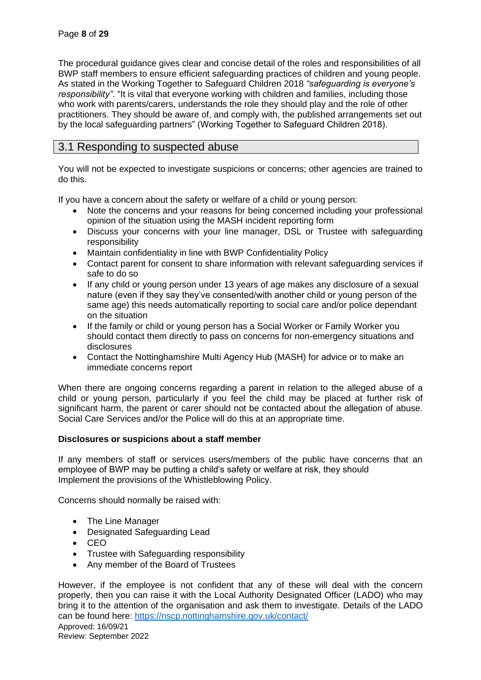The procedural guidance gives clear and concise detail of the roles and responsibilities of all BWP staff members to ensure efficient safeguarding practices of children and young people. As stated in the Working Together to Safeguard Children 2018 *"safeguarding is everyone's responsibility"*. "It is vital that everyone working with children and families, including those who work with parents/carers, understands the role they should play and the role of other practitioners. They should be aware of, and comply with, the published arrangements set out by the local safeguarding partners" (Working Together to Safeguard Children 2018).

# 3.1 Responding to suspected abuse

You will not be expected to investigate suspicions or concerns; other agencies are trained to do this.

If you have a concern about the safety or welfare of a child or young person:

- Note the concerns and your reasons for being concerned including your professional opinion of the situation using the MASH incident reporting form
- Discuss your concerns with your line manager, DSL or Trustee with safeguarding responsibility
- Maintain confidentiality in line with BWP Confidentiality Policy
- Contact parent for consent to share information with relevant safeguarding services if safe to do so
- If any child or young person under 13 years of age makes any disclosure of a sexual nature (even if they say they've consented/with another child or young person of the same age) this needs automatically reporting to social care and/or police dependant on the situation
- If the family or child or young person has a Social Worker or Family Worker you should contact them directly to pass on concerns for non-emergency situations and disclosures
- Contact the Nottinghamshire Multi Agency Hub (MASH) for advice or to make an immediate concerns report

When there are ongoing concerns regarding a parent in relation to the alleged abuse of a child or young person, particularly if you feel the child may be placed at further risk of significant harm, the parent or carer should not be contacted about the allegation of abuse. Social Care Services and/or the Police will do this at an appropriate time.

### **Disclosures or suspicions about a staff member**

If any members of staff or services users/members of the public have concerns that an employee of BWP may be putting a child's safety or welfare at risk, they should Implement the provisions of the Whistleblowing Policy.

Concerns should normally be raised with:

- The Line Manager
- Designated Safeguarding Lead
- CEO
- Trustee with Safeguarding responsibility
- Any member of the Board of Trustees

However, if the employee is not confident that any of these will deal with the concern properly, then you can raise it with the Local Authority Designated Officer (LADO) who may bring it to the attention of the organisation and ask them to investigate. Details of the LADO can be found here:<https://nscp.nottinghamshire.gov.uk/contact/>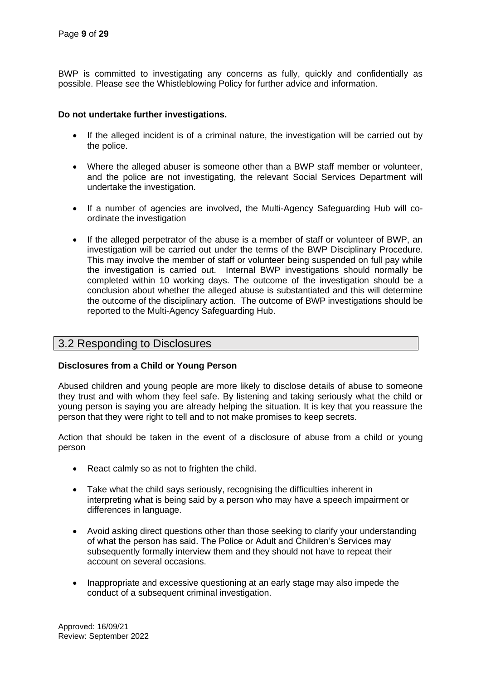BWP is committed to investigating any concerns as fully, quickly and confidentially as possible. Please see the Whistleblowing Policy for further advice and information.

### **Do not undertake further investigations.**

- If the alleged incident is of a criminal nature, the investigation will be carried out by the police.
- Where the alleged abuser is someone other than a BWP staff member or volunteer, and the police are not investigating, the relevant Social Services Department will undertake the investigation.
- If a number of agencies are involved, the Multi-Agency Safeguarding Hub will coordinate the investigation
- If the alleged perpetrator of the abuse is a member of staff or volunteer of BWP, an investigation will be carried out under the terms of the BWP Disciplinary Procedure. This may involve the member of staff or volunteer being suspended on full pay while the investigation is carried out. Internal BWP investigations should normally be completed within 10 working days. The outcome of the investigation should be a conclusion about whether the alleged abuse is substantiated and this will determine the outcome of the disciplinary action. The outcome of BWP investigations should be reported to the Multi-Agency Safeguarding Hub.

# 3.2 Responding to Disclosures

### **Disclosures from a Child or Young Person**

Abused children and young people are more likely to disclose details of abuse to someone they trust and with whom they feel safe. By listening and taking seriously what the child or young person is saying you are already helping the situation. It is key that you reassure the person that they were right to tell and to not make promises to keep secrets.

Action that should be taken in the event of a disclosure of abuse from a child or young person

- React calmly so as not to frighten the child.
- Take what the child says seriously, recognising the difficulties inherent in interpreting what is being said by a person who may have a speech impairment or differences in language.
- Avoid asking direct questions other than those seeking to clarify your understanding of what the person has said. The Police or Adult and Children's Services may subsequently formally interview them and they should not have to repeat their account on several occasions.
- Inappropriate and excessive questioning at an early stage may also impede the conduct of a subsequent criminal investigation.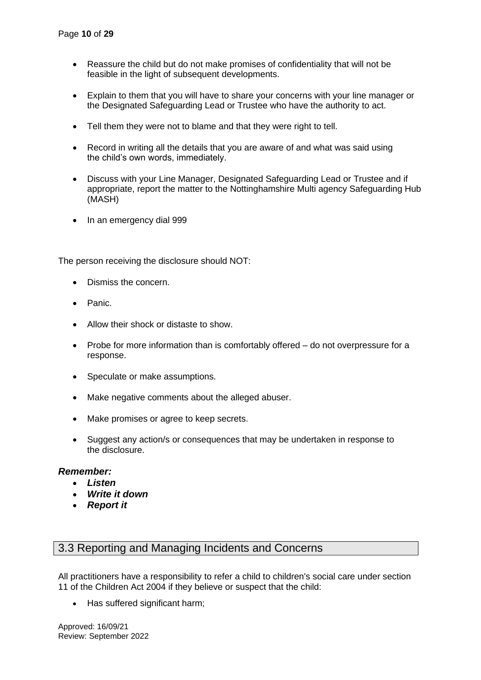- Reassure the child but do not make promises of confidentiality that will not be feasible in the light of subsequent developments.
- Explain to them that you will have to share your concerns with your line manager or the Designated Safeguarding Lead or Trustee who have the authority to act.
- Tell them they were not to blame and that they were right to tell.
- Record in writing all the details that you are aware of and what was said using the child's own words, immediately.
- Discuss with your Line Manager, Designated Safeguarding Lead or Trustee and if appropriate, report the matter to the Nottinghamshire Multi agency Safeguarding Hub (MASH)
- In an emergency dial 999

The person receiving the disclosure should NOT:

- Dismiss the concern.
- Panic.
- Allow their shock or distaste to show.
- Probe for more information than is comfortably offered do not overpressure for a response.
- Speculate or make assumptions.
- Make negative comments about the alleged abuser.
- Make promises or agree to keep secrets.
- Suggest any action/s or consequences that may be undertaken in response to the disclosure.

### *Remember:*

- *Listen*
- *Write it down*
- *Report it*

# 3.3 Reporting and Managing Incidents and Concerns

All practitioners have a responsibility to refer a child to children's social care under section 11 of the Children Act 2004 if they believe or suspect that the child:

• Has suffered significant harm;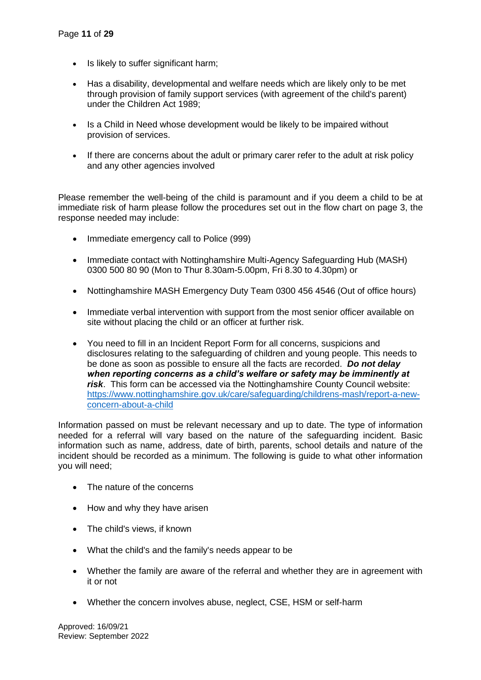- Is likely to suffer significant harm;
- Has a disability, developmental and welfare needs which are likely only to be met through provision of family support services (with agreement of the child's parent) under the Children Act 1989;
- Is a Child in Need whose development would be likely to be impaired without provision of services.
- If there are concerns about the adult or primary carer refer to the adult at risk policy and any other agencies involved

Please remember the well-being of the child is paramount and if you deem a child to be at immediate risk of harm please follow the procedures set out in the flow chart on page 3, the response needed may include:

- Immediate emergency call to Police (999)
- Immediate contact with Nottinghamshire Multi-Agency Safeguarding Hub (MASH) 0300 500 80 90 (Mon to Thur 8.30am-5.00pm, Fri 8.30 to 4.30pm) or
- Nottinghamshire MASH Emergency Duty Team 0300 456 4546 (Out of office hours)
- Immediate verbal intervention with support from the most senior officer available on site without placing the child or an officer at further risk.
- You need to fill in an Incident Report Form for all concerns, suspicions and disclosures relating to the safeguarding of children and young people. This needs to be done as soon as possible to ensure all the facts are recorded. *Do not delay when reporting concerns as a child's welfare or safety may be imminently at risk*. This form can be accessed via the Nottinghamshire County Council website: [https://www.nottinghamshire.gov.uk/care/safeguarding/childrens-mash/report-a-new](https://www.nottinghamshire.gov.uk/care/safeguarding/childrens-mash/report-a-new-concern-about-a-child)[concern-about-a-child](https://www.nottinghamshire.gov.uk/care/safeguarding/childrens-mash/report-a-new-concern-about-a-child)

Information passed on must be relevant necessary and up to date. The type of information needed for a referral will vary based on the nature of the safeguarding incident. Basic information such as name, address, date of birth, parents, school details and nature of the incident should be recorded as a minimum. The following is guide to what other information you will need;

- The nature of the concerns
- How and why they have arisen
- The child's views, if known
- What the child's and the family's needs appear to be
- Whether the family are aware of the referral and whether they are in agreement with it or not
- Whether the concern involves abuse, neglect, CSE, HSM or self-harm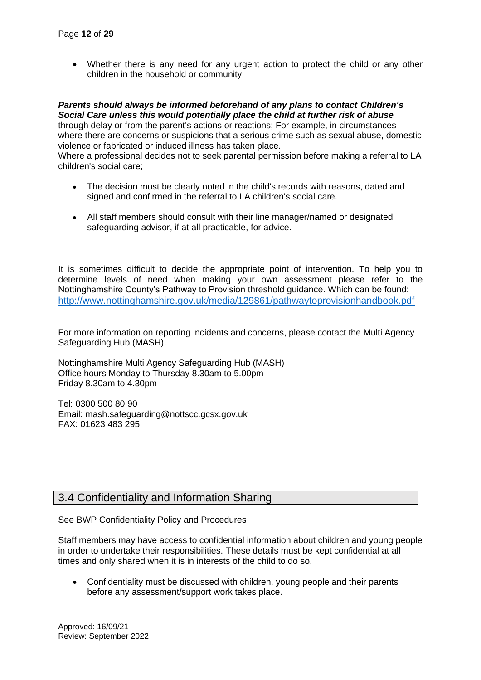• Whether there is any need for any urgent action to protect the child or any other children in the household or community.

### *Parents should always be informed beforehand of any plans to contact Children's Social Care unless this would potentially place the child at further risk of abuse*

through delay or from the parent's actions or reactions; For example, in circumstances where there are concerns or suspicions that a serious crime such as sexual abuse, domestic violence or fabricated or induced illness has taken place.

Where a professional decides not to seek parental permission before making a referral to LA children's social care;

- The decision must be clearly noted in the child's records with reasons, dated and signed and confirmed in the referral to LA children's social care.
- All staff members should consult with their line manager/named or designated safeguarding advisor, if at all practicable, for advice.

It is sometimes difficult to decide the appropriate point of intervention. To help you to determine levels of need when making your own assessment please refer to the Nottinghamshire County's Pathway to Provision threshold guidance. Which can be found: <http://www.nottinghamshire.gov.uk/media/129861/pathwaytoprovisionhandbook.pdf>

For more information on reporting incidents and concerns, please contact the Multi Agency Safeguarding Hub (MASH).

Nottinghamshire Multi Agency Safeguarding Hub (MASH) Office hours Monday to Thursday 8.30am to 5.00pm Friday 8.30am to 4.30pm

Tel: 0300 500 80 90 Email: mash.safeguarding@nottscc.gcsx.gov.uk FAX: 01623 483 295

# 3.4 Confidentiality and Information Sharing

See BWP Confidentiality Policy and Procedures

Staff members may have access to confidential information about children and young people in order to undertake their responsibilities. These details must be kept confidential at all times and only shared when it is in interests of the child to do so.

• Confidentiality must be discussed with children, young people and their parents before any assessment/support work takes place.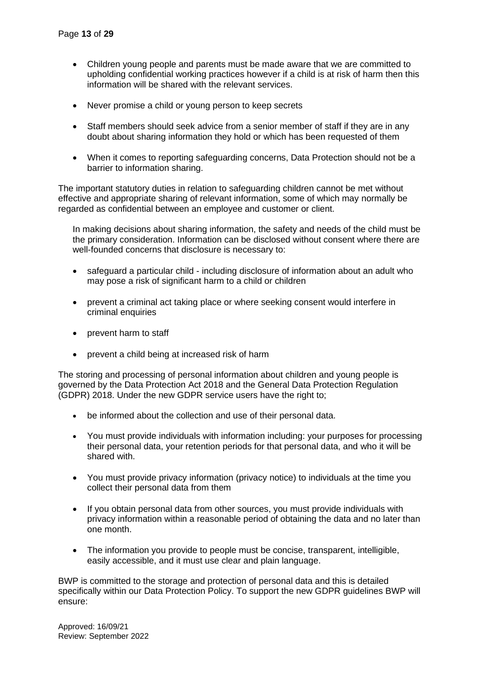- Children young people and parents must be made aware that we are committed to upholding confidential working practices however if a child is at risk of harm then this information will be shared with the relevant services.
- Never promise a child or young person to keep secrets
- Staff members should seek advice from a senior member of staff if they are in any doubt about sharing information they hold or which has been requested of them
- When it comes to reporting safeguarding concerns, Data Protection should not be a barrier to information sharing.

The important statutory duties in relation to safeguarding children cannot be met without effective and appropriate sharing of relevant information, some of which may normally be regarded as confidential between an employee and customer or client.

In making decisions about sharing information, the safety and needs of the child must be the primary consideration. Information can be disclosed without consent where there are well-founded concerns that disclosure is necessary to:

- safeguard a particular child including disclosure of information about an adult who may pose a risk of significant harm to a child or children
- prevent a criminal act taking place or where seeking consent would interfere in criminal enquiries
- prevent harm to staff
- prevent a child being at increased risk of harm

The storing and processing of personal information about children and young people is governed by the Data Protection Act 2018 and the General Data Protection Regulation (GDPR) 2018. Under the new GDPR service users have the right to;

- be informed about the collection and use of their personal data.
- You must provide individuals with information including: your purposes for processing their personal data, your retention periods for that personal data, and who it will be shared with.
- You must provide privacy information (privacy notice) to individuals at the time you collect their personal data from them
- If you obtain personal data from other sources, you must provide individuals with privacy information within a reasonable period of obtaining the data and no later than one month.
- The information you provide to people must be concise, transparent, intelligible, easily accessible, and it must use clear and plain language.

BWP is committed to the storage and protection of personal data and this is detailed specifically within our Data Protection Policy. To support the new GDPR guidelines BWP will ensure: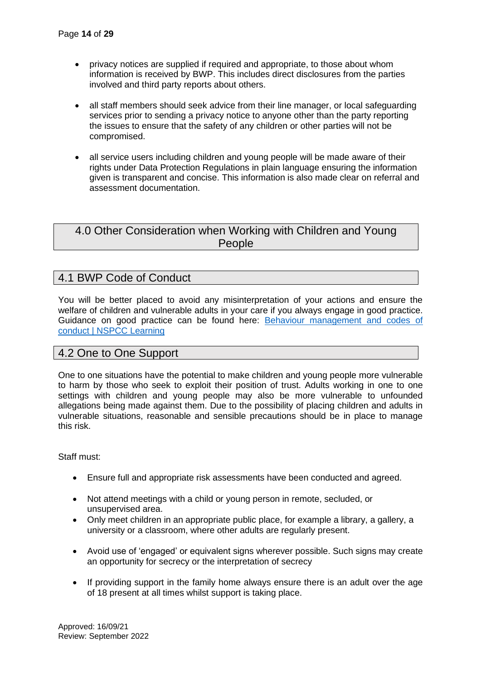- privacy notices are supplied if required and appropriate, to those about whom information is received by BWP. This includes direct disclosures from the parties involved and third party reports about others.
- all staff members should seek advice from their line manager, or local safeguarding services prior to sending a privacy notice to anyone other than the party reporting the issues to ensure that the safety of any children or other parties will not be compromised.
- all service users including children and young people will be made aware of their rights under Data Protection Regulations in plain language ensuring the information given is transparent and concise. This information is also made clear on referral and assessment documentation.

# 4.0 Other Consideration when Working with Children and Young People

# 4.1 BWP Code of Conduct

You will be better placed to avoid any misinterpretation of your actions and ensure the welfare of children and vulnerable adults in your care if you always engage in good practice. Guidance on good practice can be found here: [Behaviour management and codes of](https://learning.nspcc.org.uk/research-resources/templates/behaviour-codes-adults-children)  [conduct | NSPCC Learning](https://learning.nspcc.org.uk/research-resources/templates/behaviour-codes-adults-children)

# 4.2 One to One Support

One to one situations have the potential to make children and young people more vulnerable to harm by those who seek to exploit their position of trust. Adults working in one to one settings with children and young people may also be more vulnerable to unfounded allegations being made against them. Due to the possibility of placing children and adults in vulnerable situations, reasonable and sensible precautions should be in place to manage this risk.

Staff must:

- Ensure full and appropriate risk assessments have been conducted and agreed.
- Not attend meetings with a child or young person in remote, secluded, or unsupervised area.
- Only meet children in an appropriate public place, for example a library, a gallery, a university or a classroom, where other adults are regularly present.
- Avoid use of 'engaged' or equivalent signs wherever possible. Such signs may create an opportunity for secrecy or the interpretation of secrecy
- If providing support in the family home always ensure there is an adult over the age of 18 present at all times whilst support is taking place.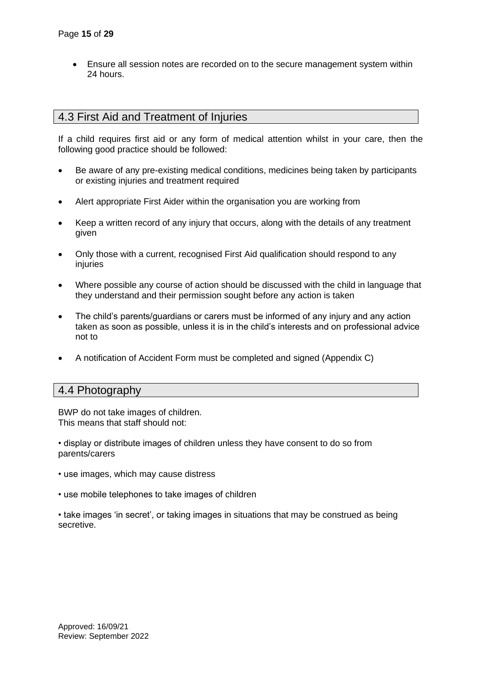• Ensure all session notes are recorded on to the secure management system within 24 hours.

# 4.3 First Aid and Treatment of Injuries

If a child requires first aid or any form of medical attention whilst in your care, then the following good practice should be followed:

- Be aware of any pre-existing medical conditions, medicines being taken by participants or existing injuries and treatment required
- Alert appropriate First Aider within the organisation you are working from
- Keep a written record of any injury that occurs, along with the details of any treatment given
- Only those with a current, recognised First Aid qualification should respond to any injuries
- Where possible any course of action should be discussed with the child in language that they understand and their permission sought before any action is taken
- The child's parents/guardians or carers must be informed of any injury and any action taken as soon as possible, unless it is in the child's interests and on professional advice not to
- A notification of Accident Form must be completed and signed (Appendix C)

# 4.4 Photography

BWP do not take images of children. This means that staff should not:

• display or distribute images of children unless they have consent to do so from parents/carers

- use images, which may cause distress
- use mobile telephones to take images of children
- take images 'in secret', or taking images in situations that may be construed as being secretive.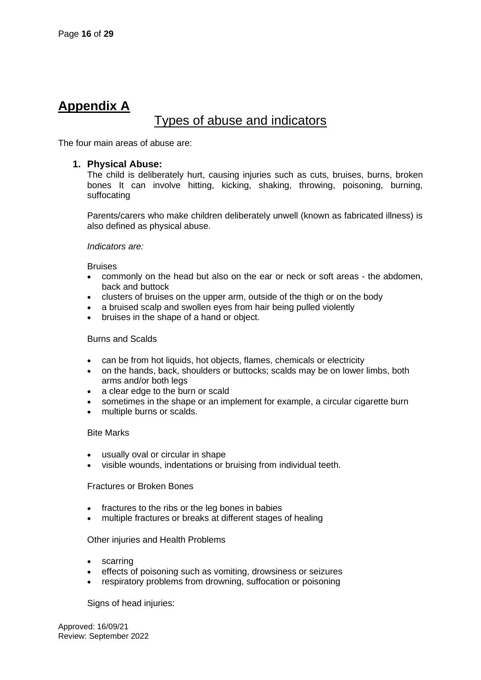# **Appendix A**

# Types of abuse and indicators

The four main areas of abuse are:

### **1. Physical Abuse:**

The child is deliberately hurt, causing injuries such as cuts, bruises, burns, broken bones It can involve hitting, kicking, shaking, throwing, poisoning, burning, suffocating

Parents/carers who make children deliberately unwell (known as fabricated illness) is also defined as physical abuse.

### *Indicators are:*

**Bruises** 

- commonly on the head but also on the ear or neck or soft areas the abdomen, back and buttock
- clusters of bruises on the upper arm, outside of the thigh or on the body
- a bruised scalp and swollen eyes from hair being pulled violently
- bruises in the shape of a hand or object.

#### Burns and Scalds

- can be from hot liquids, hot objects, flames, chemicals or electricity
- on the hands, back, shoulders or buttocks; scalds may be on lower limbs, both arms and/or both legs
- a clear edge to the burn or scald
- sometimes in the shape or an implement for example, a circular cigarette burn
- multiple burns or scalds.

### Bite Marks

- usually oval or circular in shape
- visible wounds, indentations or bruising from individual teeth.

Fractures or Broken Bones

- fractures to the ribs or the leg bones in babies
- multiple fractures or breaks at different stages of healing

### Other injuries and Health Problems

- scarring
- effects of poisoning such as vomiting, drowsiness or seizures
- respiratory problems from drowning, suffocation or poisoning

Signs of head injuries: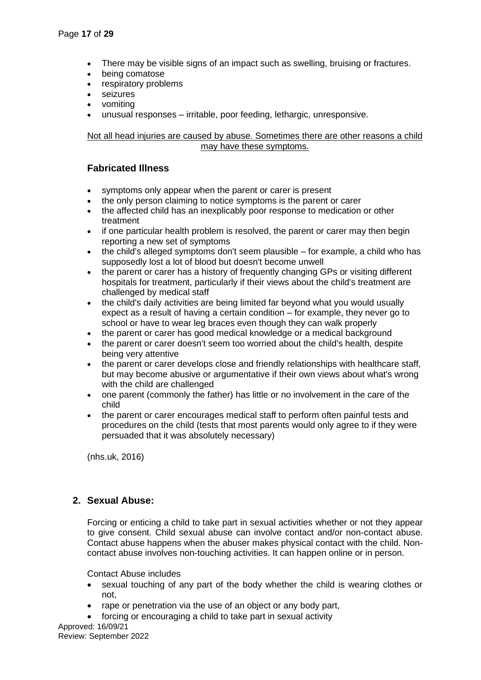- There may be visible signs of an impact such as swelling, bruising or fractures.
- being comatose
- respiratory problems
- seizures
- vomiting
- unusual responses irritable, poor feeding, lethargic, unresponsive.

Not all head injuries are caused by abuse. Sometimes there are other reasons a child may have these symptoms.

### **Fabricated Illness**

- symptoms only appear when the parent or carer is present
- the only person claiming to notice symptoms is the parent or carer
- the affected child has an inexplicably poor response to medication or other treatment
- if one particular health problem is resolved, the parent or carer may then begin reporting a new set of symptoms
- the child's alleged symptoms don't seem plausible for example, a child who has supposedly lost a lot of blood but doesn't become unwell
- the parent or carer has a history of frequently changing GPs or visiting different hospitals for treatment, particularly if their views about the child's treatment are challenged by medical staff
- the child's daily activities are being limited far beyond what you would usually expect as a result of having a certain condition – for example, they never go to school or have to wear leg braces even though they can walk properly
- the parent or carer has good medical knowledge or a medical background
- the parent or carer doesn't seem too worried about the child's health, despite being very attentive
- the parent or carer develops close and friendly relationships with healthcare staff, but may become abusive or argumentative if their own views about what's wrong with the child are challenged
- one parent (commonly the father) has little or no involvement in the care of the child
- the parent or carer encourages medical staff to perform often painful tests and procedures on the child (tests that most parents would only agree to if they were persuaded that it was absolutely necessary)

(nhs.uk, 2016)

# **2. Sexual Abuse:**

Forcing or enticing a child to take part in sexual activities whether or not they appear to give consent. Child sexual abuse can involve contact and/or non-contact abuse. Contact abuse happens when the abuser makes physical contact with the child. Noncontact abuse involves non-touching activities. It can happen online or in person.

Contact Abuse includes

- sexual touching of any part of the body whether the child is wearing clothes or not,
- rape or penetration via the use of an object or any body part,
- forcing or encouraging a child to take part in sexual activity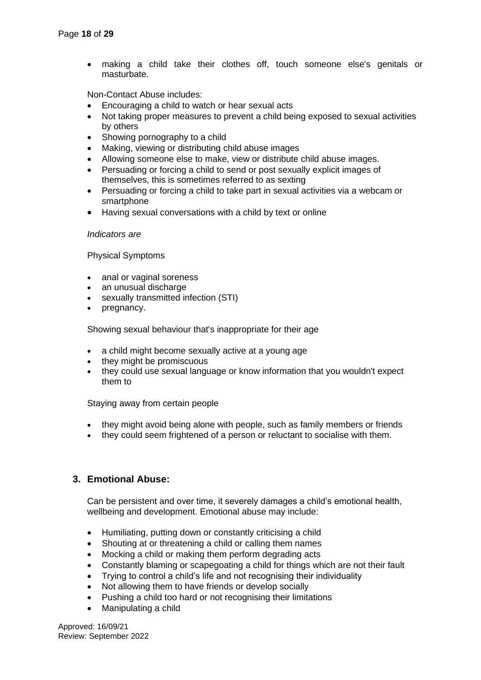making a child take their clothes off, touch someone else's genitals or masturbate.

Non-Contact Abuse includes:

- Encouraging a child to watch or hear sexual acts
- Not taking proper measures to prevent a child being exposed to sexual activities by others
- Showing pornography to a child
- Making, viewing or distributing child abuse images
- Allowing someone else to make, view or distribute child abuse images.
- Persuading or forcing a child to send or post sexually explicit images of themselves, this is sometimes referred to as sexting
- Persuading or forcing a child to take part in sexual activities via a webcam or smartphone
- Having sexual conversations with a child by text or online

### *Indicators are*

Physical Symptoms

- anal or vaginal soreness
- an unusual discharge
- sexually transmitted infection (STI)
- pregnancy.

Showing sexual behaviour that's inappropriate for their age

- a child might become sexually active at a young age
- they might be promiscuous
- they could use sexual language or know information that you wouldn't expect them to

Staying away from certain people

- they might avoid being alone with people, such as family members or friends
- they could seem frightened of a person or reluctant to socialise with them.

# **3. Emotional Abuse:**

Can be persistent and over time, it severely damages a child's emotional health, wellbeing and development. Emotional abuse may include:

- Humiliating, putting down or constantly criticising a child
- Shouting at or threatening a child or calling them names
- Mocking a child or making them perform degrading acts
- Constantly blaming or scapegoating a child for things which are not their fault
- Trying to control a child's life and not recognising their individuality
- Not allowing them to have friends or develop socially
- Pushing a child too hard or not recognising their limitations
- Manipulating a child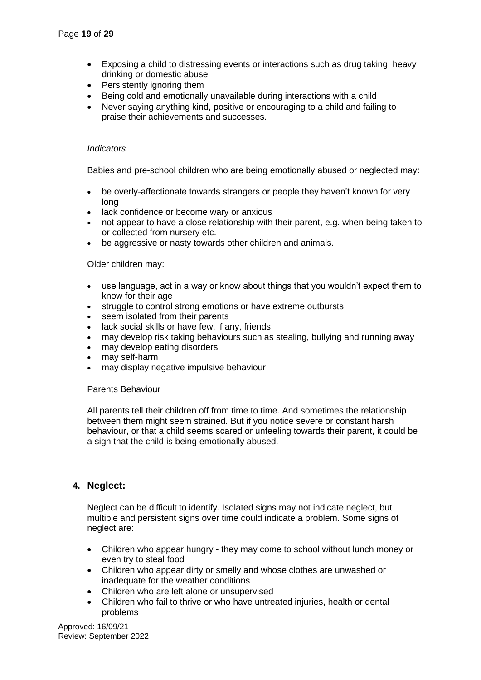- Exposing a child to distressing events or interactions such as drug taking, heavy drinking or domestic abuse
- Persistently ignoring them
- Being cold and emotionally unavailable during interactions with a child
- Never saying anything kind, positive or encouraging to a child and failing to praise their achievements and successes.

### *Indicators*

Babies and pre-school children who are being emotionally abused or neglected may:

- be overly-affectionate towards strangers or people they haven't known for very long
- lack confidence or become wary or anxious
- not appear to have a close relationship with their parent, e.g. when being taken to or collected from nursery etc.
- be aggressive or nasty towards other children and animals.

Older children may:

- use language, act in a way or know about things that you wouldn't expect them to know for their age
- struggle to control strong emotions or have extreme outbursts
- seem isolated from their parents
- lack social skills or have few, if any, friends
- may develop risk taking behaviours such as stealing, bullying and running away
- may develop eating disorders
- may self-harm
- may display negative impulsive behaviour

### Parents Behaviour

All parents tell their children off from time to time. And sometimes the relationship between them might seem strained. But if you notice severe or constant harsh behaviour, or that a child seems scared or unfeeling towards their parent, it could be a sign that the child is being emotionally abused.

### **4. Neglect:**

Neglect can be difficult to identify. Isolated signs may not indicate neglect, but multiple and persistent signs over time could indicate a problem. Some signs of neglect are:

- Children who appear hungry they may come to school without lunch money or even try to steal food
- Children who appear dirty or smelly and whose clothes are unwashed or inadequate for the weather conditions
- Children who are left alone or unsupervised
- Children who fail to thrive or who have untreated injuries, health or dental problems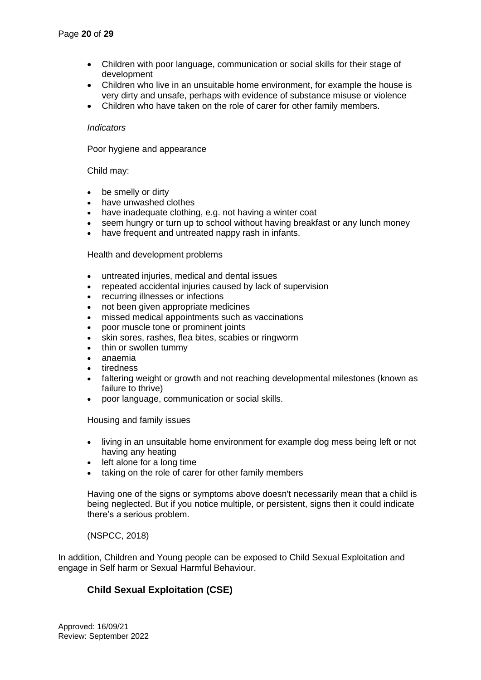- Children with poor language, communication or social skills for their stage of development
- Children who live in an unsuitable home environment, for example the house is very dirty and unsafe, perhaps with evidence of substance misuse or violence
- Children who have taken on the role of carer for other family members.

### *Indicators*

Poor hygiene and appearance

### Child may:

- be smelly or dirty
- have unwashed clothes
- have inadequate clothing, e.g. not having a winter coat
- seem hungry or turn up to school without having breakfast or any lunch money
- have frequent and untreated nappy rash in infants.

### Health and development problems

- untreated injuries, medical and dental issues
- repeated accidental injuries caused by lack of supervision
- recurring illnesses or infections
- not been given appropriate medicines
- missed medical appointments such as vaccinations
- poor muscle tone or prominent joints
- skin sores, rashes, flea bites, scabies or ringworm
- thin or swollen tummy
- anaemia
- tiredness
- faltering weight or growth and not reaching developmental milestones (known as failure to thrive)
- poor language, communication or social skills.

Housing and family issues

- living in an unsuitable home environment for example dog mess being left or not having any heating
- left alone for a long time
- taking on the role of carer for other family members

Having one of the signs or symptoms above doesn't necessarily mean that a child is being neglected. But if you notice multiple, or persistent, signs then it could indicate there's a serious problem.

### (NSPCC, 2018)

In addition, Children and Young people can be exposed to Child Sexual Exploitation and engage in Self harm or Sexual Harmful Behaviour.

# **Child Sexual Exploitation (CSE)**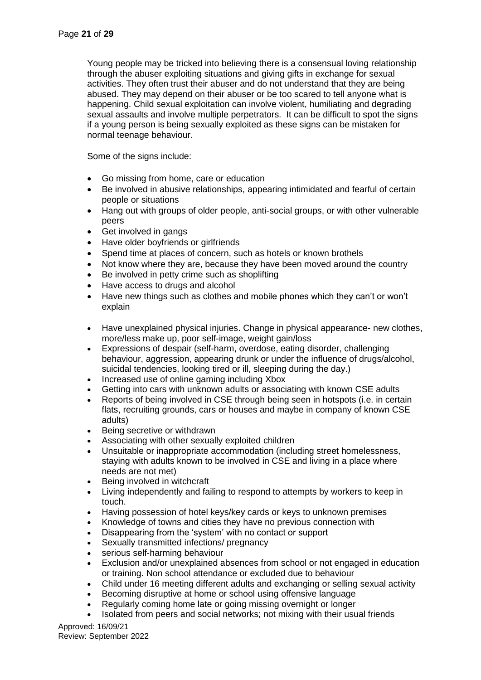Young people may be tricked into believing there is a consensual loving relationship through the abuser exploiting situations and giving gifts in exchange for sexual activities. They often trust their abuser and do not understand that they are being abused. They may depend on their abuser or be too scared to tell anyone what is happening. Child sexual exploitation can involve violent, humiliating and degrading sexual assaults and involve multiple perpetrators. It can be difficult to spot the signs if a young person is being sexually exploited as these signs can be mistaken for normal teenage behaviour.

Some of the signs include:

- Go missing from home, care or education
- Be involved in abusive relationships, appearing intimidated and fearful of certain people or situations
- Hang out with groups of older people, anti-social groups, or with other vulnerable peers
- Get involved in gangs
- Have older boyfriends or girlfriends
- Spend time at places of concern, such as hotels or known brothels
- Not know where they are, because they have been moved around the country
- Be involved in petty crime such as shoplifting
- Have access to drugs and alcohol
- Have new things such as clothes and mobile phones which they can't or won't explain
- Have unexplained physical injuries. Change in physical appearance- new clothes, more/less make up, poor self-image, weight gain/loss
- Expressions of despair (self-harm, overdose, eating disorder, challenging behaviour, aggression, appearing drunk or under the influence of drugs/alcohol, suicidal tendencies, looking tired or ill, sleeping during the day.)
- Increased use of online gaming including Xbox
- Getting into cars with unknown adults or associating with known CSE adults
- Reports of being involved in CSE through being seen in hotspots (i.e. in certain flats, recruiting grounds, cars or houses and maybe in company of known CSE adults)
- Being secretive or withdrawn
- Associating with other sexually exploited children
- Unsuitable or inappropriate accommodation (including street homelessness, staying with adults known to be involved in CSE and living in a place where needs are not met)
- Being involved in witchcraft
- Living independently and failing to respond to attempts by workers to keep in touch.
- Having possession of hotel keys/key cards or keys to unknown premises
- Knowledge of towns and cities they have no previous connection with
- Disappearing from the 'system' with no contact or support
- Sexually transmitted infections/ pregnancy
- serious self-harming behaviour
- Exclusion and/or unexplained absences from school or not engaged in education or training. Non school attendance or excluded due to behaviour
- Child under 16 meeting different adults and exchanging or selling sexual activity
- Becoming disruptive at home or school using offensive language
- Regularly coming home late or going missing overnight or longer
- Isolated from peers and social networks; not mixing with their usual friends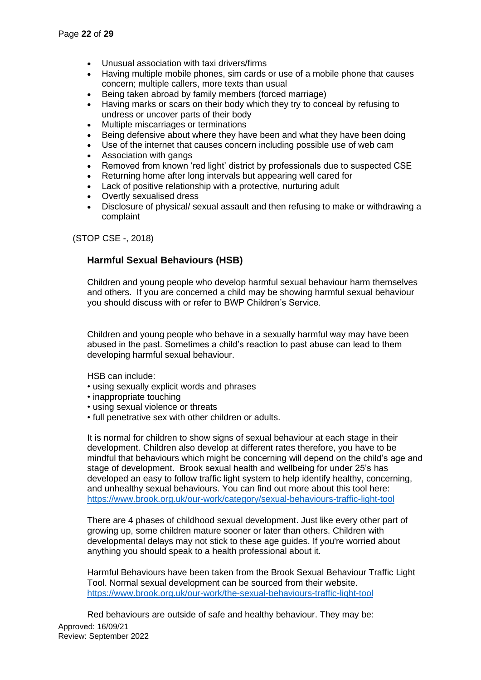- Unusual association with taxi drivers/firms
- Having multiple mobile phones, sim cards or use of a mobile phone that causes concern; multiple callers, more texts than usual
- Being taken abroad by family members (forced marriage)
- Having marks or scars on their body which they try to conceal by refusing to undress or uncover parts of their body
- Multiple miscarriages or terminations
- Being defensive about where they have been and what they have been doing
- Use of the internet that causes concern including possible use of web cam
- Association with gangs
- Removed from known 'red light' district by professionals due to suspected CSE
- Returning home after long intervals but appearing well cared for
- Lack of positive relationship with a protective, nurturing adult
- Overtly sexualised dress
- Disclosure of physical/ sexual assault and then refusing to make or withdrawing a complaint

(STOP CSE -, 2018)

# **Harmful Sexual Behaviours (HSB)**

Children and young people who develop harmful sexual behaviour harm themselves and others. If you are concerned a child may be showing harmful sexual behaviour you should discuss with or refer to BWP Children's Service.

Children and young people who behave in a sexually harmful way may have been abused in the past. Sometimes a child's reaction to past abuse can lead to them developing harmful sexual behaviour.

HSB can include:

- using sexually explicit words and phrases
- inappropriate touching
- using sexual violence or threats
- full penetrative sex with other children or adults.

It is normal for children to show signs of sexual behaviour at each stage in their development. Children also develop at different rates therefore, you have to be mindful that behaviours which might be concerning will depend on the child's age and stage of development. Brook sexual health and wellbeing for under 25's has developed an easy to follow traffic light system to help identify healthy, concerning, and unhealthy sexual behaviours. You can find out more about this tool here: <https://www.brook.org.uk/our-work/category/sexual-behaviours-traffic-light-tool>

There are 4 phases of childhood sexual development. Just like every other part of growing up, some children mature sooner or later than others. Children with developmental delays may not stick to these age guides. If you're worried about anything you should speak to a health professional about it.

Harmful Behaviours have been taken from the Brook Sexual Behaviour Traffic Light Tool. Normal sexual development can be sourced from their website. <https://www.brook.org.uk/our-work/the-sexual-behaviours-traffic-light-tool>

Approved: 16/09/21 Review: September 2022 Red behaviours are outside of safe and healthy behaviour. They may be: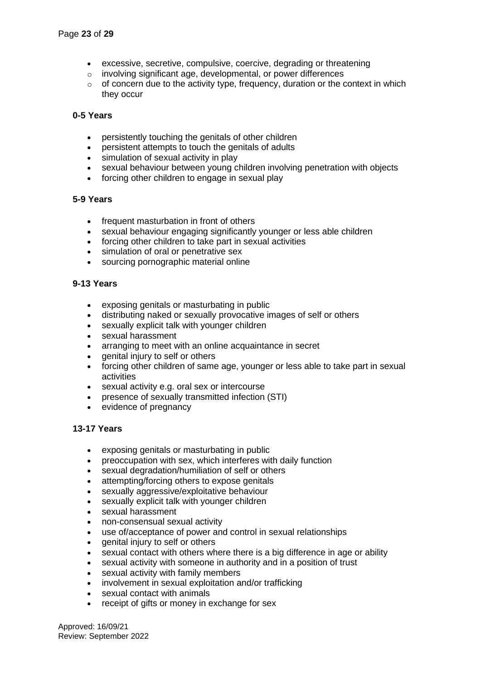- excessive, secretive, compulsive, coercive, degrading or threatening
- o involving significant age, developmental, or power differences
- $\circ$  of concern due to the activity type, frequency, duration or the context in which they occur

### **0-5 Years**

- persistently touching the genitals of other children
- persistent attempts to touch the genitals of adults
- simulation of sexual activity in play
- sexual behaviour between young children involving penetration with objects
- forcing other children to engage in sexual play

### **5-9 Years**

- frequent masturbation in front of others
- sexual behaviour engaging significantly younger or less able children
- forcing other children to take part in sexual activities
- simulation of oral or penetrative sex
- sourcing pornographic material online

### **9-13 Years**

- exposing genitals or masturbating in public
- distributing naked or sexually provocative images of self or others
- sexually explicit talk with younger children
- sexual harassment
- arranging to meet with an online acquaintance in secret
- genital injury to self or others
- forcing other children of same age, younger or less able to take part in sexual activities
- sexual activity e.g. oral sex or intercourse
- presence of sexually transmitted infection (STI)
- evidence of pregnancy

### **13-17 Years**

- exposing genitals or masturbating in public
- preoccupation with sex, which interferes with daily function
- sexual degradation/humiliation of self or others
- attempting/forcing others to expose genitals
- sexually aggressive/exploitative behaviour
- sexually explicit talk with younger children
- sexual harassment
- non-consensual sexual activity
- use of/acceptance of power and control in sexual relationships
- genital injury to self or others
- sexual contact with others where there is a big difference in age or ability
- sexual activity with someone in authority and in a position of trust
- sexual activity with family members
- involvement in sexual exploitation and/or trafficking
- sexual contact with animals
- receipt of gifts or money in exchange for sex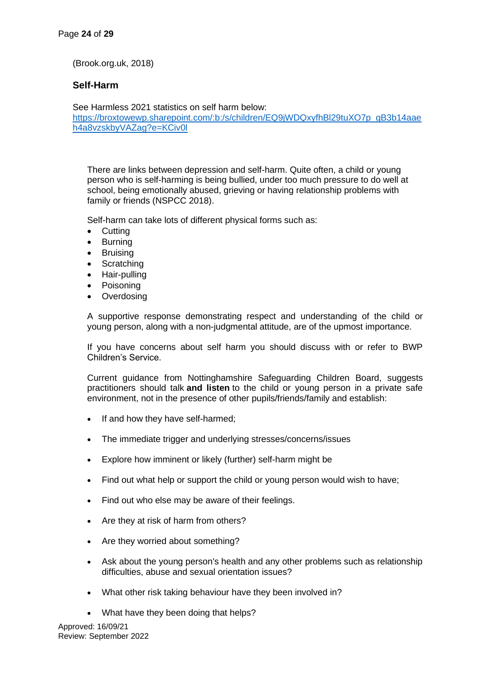(Brook.org.uk, 2018)

### **Self-Harm**

See Harmless 2021 statistics on self harm below: [https://broxtowewp.sharepoint.com/:b:/s/children/EQ9jWDQxyfhBl29tuXO7p\\_gB3b14aae](https://broxtowewp.sharepoint.com/:b:/s/children/EQ9jWDQxyfhBl29tuXO7p_gB3b14aaeh4a8vzskbyVAZag?e=KCiv0l) [h4a8vzskbyVAZag?e=KCiv0l](https://broxtowewp.sharepoint.com/:b:/s/children/EQ9jWDQxyfhBl29tuXO7p_gB3b14aaeh4a8vzskbyVAZag?e=KCiv0l)

There are links between depression and self-harm. Quite often, a child or young person who is self-harming is being bullied, under too much pressure to do well at school, being emotionally abused, grieving or having relationship problems with family or friends (NSPCC 2018).

Self-harm can take lots of different physical forms such as:

- Cutting
- **Burning**
- Bruising
- Scratching
- Hair-pulling
- **Poisoning**
- Overdosing

A supportive response demonstrating respect and understanding of the child or young person, along with a non-judgmental attitude, are of the upmost importance.

If you have concerns about self harm you should discuss with or refer to BWP Children's Service.

Current guidance from Nottinghamshire Safeguarding Children Board, suggests practitioners should talk **and listen** to the child or young person in a private safe environment, not in the presence of other pupils/friends/family and establish:

- If and how they have self-harmed;
- The immediate trigger and underlying stresses/concerns/issues
- Explore how imminent or likely (further) self-harm might be
- Find out what help or support the child or young person would wish to have;
- Find out who else may be aware of their feelings.
- Are they at risk of harm from others?
- Are they worried about something?
- Ask about the young person's health and any other problems such as relationship difficulties, abuse and sexual orientation issues?
- What other risk taking behaviour have they been involved in?
- What have they been doing that helps?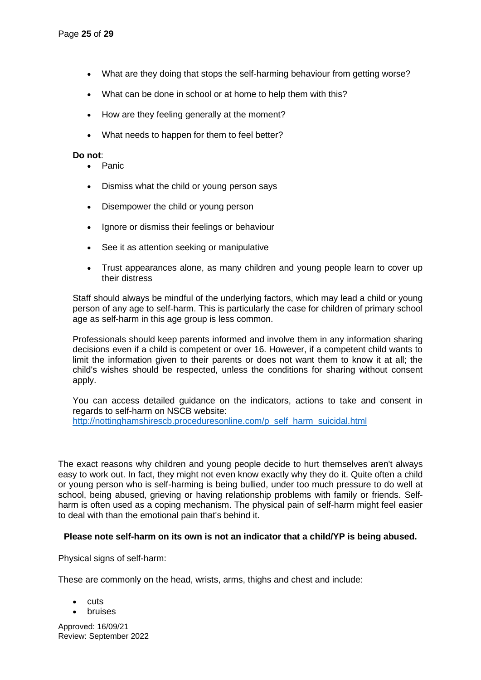- What are they doing that stops the self-harming behaviour from getting worse?
- What can be done in school or at home to help them with this?
- How are they feeling generally at the moment?
- What needs to happen for them to feel better?

### **Do not**:

- Panic
- Dismiss what the child or young person says
- Disempower the child or young person
- Ignore or dismiss their feelings or behaviour
- See it as attention seeking or manipulative
- Trust appearances alone, as many children and young people learn to cover up their distress

Staff should always be mindful of the underlying factors, which may lead a child or young person of any age to self-harm. This is particularly the case for children of primary school age as self-harm in this age group is less common.

Professionals should keep parents informed and involve them in any information sharing decisions even if a child is competent or over 16. However, if a competent child wants to limit the information given to their parents or does not want them to know it at all; the child's wishes should be respected, unless the conditions for sharing without consent apply.

You can access detailed guidance on the indicators, actions to take and consent in regards to self-harm on NSCB website: [http://nottinghamshirescb.proceduresonline.com/p\\_self\\_harm\\_suicidal.html](http://nottinghamshirescb.proceduresonline.com/p_self_harm_suicidal.html)

The exact reasons why children and young people decide to hurt themselves aren't always easy to work out. In fact, they might not even know exactly why they do it. Quite often a child or young person who is self-harming is being bullied, under too much pressure to do well at school, being abused, grieving or having relationship problems with family or friends. Selfharm is often used as a coping mechanism. The physical pain of self-harm might feel easier to deal with than the emotional pain that's behind it.

### **Please note self-harm on its own is not an indicator that a child/YP is being abused.**

Physical signs of self-harm:

These are commonly on the head, wrists, arms, thighs and chest and include:

- cuts
- bruises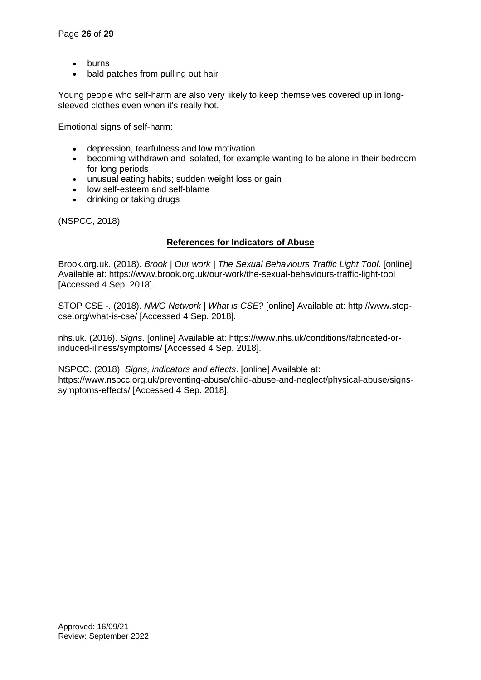- **burns**
- bald patches from pulling out hair

Young people who self-harm are also very likely to keep themselves covered up in longsleeved clothes even when it's really hot.

Emotional signs of self-harm:

- depression, tearfulness and low motivation
- becoming withdrawn and isolated, for example wanting to be alone in their bedroom for long periods
- unusual eating habits; sudden weight loss or gain
- low self-esteem and self-blame
- drinking or taking drugs

(NSPCC, 2018)

### **References for Indicators of Abuse**

Brook.org.uk. (2018). *Brook | Our work | The Sexual Behaviours Traffic Light Tool*. [online] Available at: https://www.brook.org.uk/our-work/the-sexual-behaviours-traffic-light-tool [Accessed 4 Sep. 2018].

STOP CSE -. (2018). *NWG Network | What is CSE?* [online] Available at: http://www.stopcse.org/what-is-cse/ [Accessed 4 Sep. 2018].

nhs.uk. (2016). *Signs*. [online] Available at: https://www.nhs.uk/conditions/fabricated-orinduced-illness/symptoms/ [Accessed 4 Sep. 2018].

NSPCC. (2018). *Signs, indicators and effects*. [online] Available at: https://www.nspcc.org.uk/preventing-abuse/child-abuse-and-neglect/physical-abuse/signssymptoms-effects/ [Accessed 4 Sep. 2018].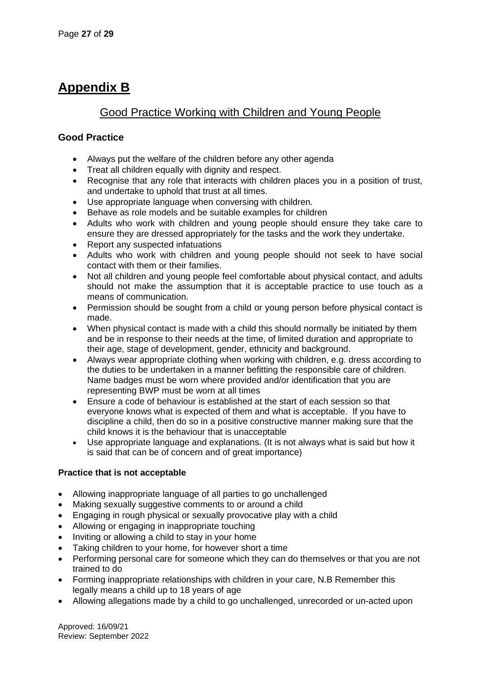# **Appendix B**

# Good Practice Working with Children and Young People

# **Good Practice**

- Always put the welfare of the children before any other agenda
- Treat all children equally with dignity and respect.
- Recognise that any role that interacts with children places you in a position of trust, and undertake to uphold that trust at all times.
- Use appropriate language when conversing with children.
- Behave as role models and be suitable examples for children
- Adults who work with children and young people should ensure they take care to ensure they are dressed appropriately for the tasks and the work they undertake.
- Report any suspected infatuations
- Adults who work with children and young people should not seek to have social contact with them or their families.
- Not all children and young people feel comfortable about physical contact, and adults should not make the assumption that it is acceptable practice to use touch as a means of communication.
- Permission should be sought from a child or young person before physical contact is made.
- When physical contact is made with a child this should normally be initiated by them and be in response to their needs at the time, of limited duration and appropriate to their age, stage of development, gender, ethnicity and background.
- Always wear appropriate clothing when working with children, e.g. dress according to the duties to be undertaken in a manner befitting the responsible care of children. Name badges must be worn where provided and/or identification that you are representing BWP must be worn at all times
- Ensure a code of behaviour is established at the start of each session so that everyone knows what is expected of them and what is acceptable. If you have to discipline a child, then do so in a positive constructive manner making sure that the child knows it is the behaviour that is unacceptable
- Use appropriate language and explanations. (It is not always what is said but how it is said that can be of concern and of great importance)

# **Practice that is not acceptable**

- Allowing inappropriate language of all parties to go unchallenged
- Making sexually suggestive comments to or around a child
- Engaging in rough physical or sexually provocative play with a child
- Allowing or engaging in inappropriate touching
- Inviting or allowing a child to stay in your home
- Taking children to your home, for however short a time
- Performing personal care for someone which they can do themselves or that you are not trained to do
- Forming inappropriate relationships with children in your care, N.B Remember this legally means a child up to 18 years of age
- Allowing allegations made by a child to go unchallenged, unrecorded or un-acted upon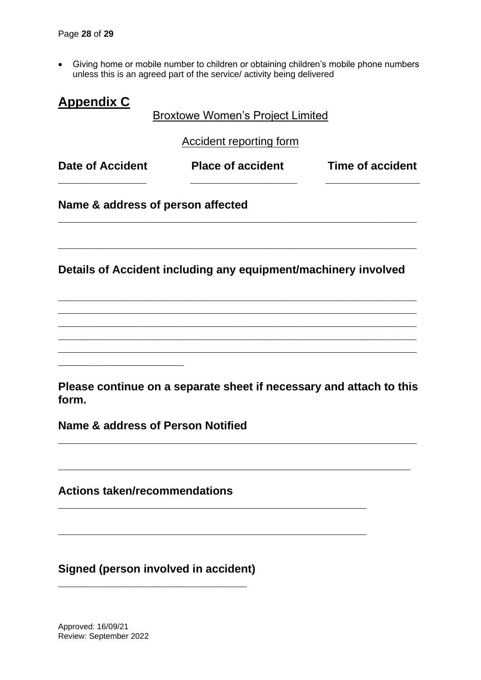• Giving home or mobile number to children or obtaining children's mobile phone numbers unless this is an agreed part of the service/ activity being delivered

| <b>Appendix C</b>                    | <b>Broxtowe Women's Project Limited</b>                             |                         |
|--------------------------------------|---------------------------------------------------------------------|-------------------------|
|                                      | <b>Accident reporting form</b>                                      |                         |
| <b>Date of Accident</b>              | <b>Place of accident</b>                                            | <b>Time of accident</b> |
| Name & address of person affected    |                                                                     |                         |
|                                      | Details of Accident including any equipment/machinery involved      |                         |
|                                      |                                                                     |                         |
|                                      |                                                                     |                         |
| form.                                | Please continue on a separate sheet if necessary and attach to this |                         |
| Name & address of Person Notified    |                                                                     |                         |
| <b>Actions taken/recommendations</b> |                                                                     |                         |
| Signed (person involved in accident) |                                                                     |                         |